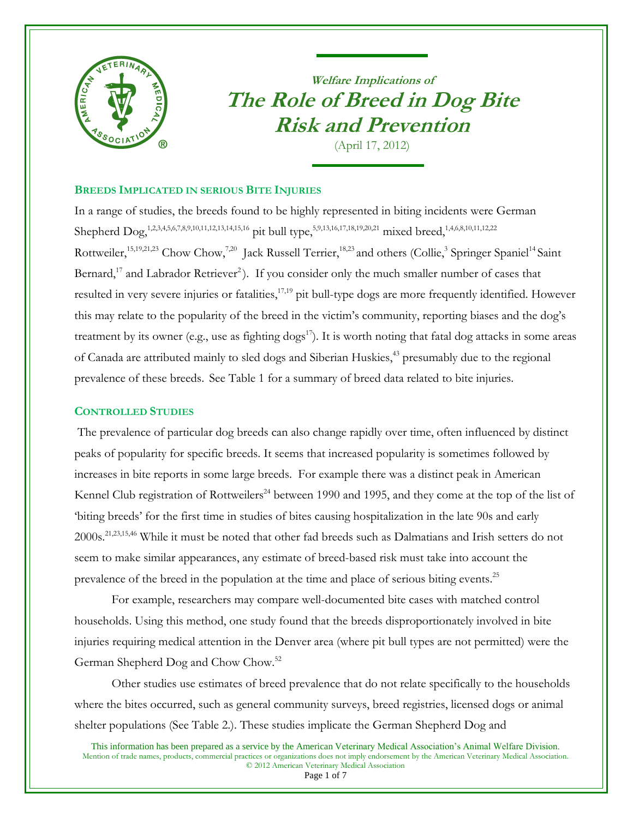

# **Welfare Implications of The Role of Breed in Dog Bite Risk and Prevention**

<span id="page-0-22"></span><span id="page-0-20"></span><span id="page-0-19"></span><span id="page-0-16"></span><span id="page-0-15"></span><span id="page-0-13"></span><span id="page-0-12"></span><span id="page-0-11"></span><span id="page-0-3"></span>(April 17, 2012)

# **BREEDS IMPLICATED IN SERIOUS BITE INJURIES**

<span id="page-0-21"></span><span id="page-0-18"></span><span id="page-0-17"></span><span id="page-0-14"></span><span id="page-0-10"></span><span id="page-0-9"></span><span id="page-0-8"></span><span id="page-0-7"></span><span id="page-0-6"></span><span id="page-0-5"></span><span id="page-0-4"></span><span id="page-0-2"></span><span id="page-0-1"></span><span id="page-0-0"></span>In a range of studies, the breeds found to be highly represented in biting incidents were German Shepherd Dog,<sup>1,2,3,4,[5,](#page-0-0)6,7,8,[9](#page-0-1),10,11,12[,13](#page-0-2),14,15,16</sup> pit bull type,<sup>5,9,13[,16,1](#page-0-3)7,18,19,20,21</sup> mixed breed,<sup>[1,](#page-0-4)[4](#page-0-5)[,6](#page-0-6)[,8,](#page-0-7)[10](#page-0-8)[,11](#page-0-9)[,12,](#page-0-10)22</sup> Rottweiler,<sup>[15,](#page-0-11)[19,](#page-0-12)[21,2](#page-0-13)3</sup> Chow Chow,<sup>[7,](#page-0-14)[20](#page-0-15)</sup> Jack Russell Terrier,<sup>[18,](#page-0-16)[23](#page-0-17)</sup> and others (Collie,<sup>[3](#page-0-18)</sup> Springer Spaniel<sup>[14](#page-0-19)</sup> Saint Bernard,<sup>[17](#page-0-20)</sup> and Labrador Retriever<sup>[2](#page-0-21)</sup>). If you consider only the much smaller number of cases that resulted in very severe injuries or fatalities,<sup>[17,](#page-0-20)[19](#page-0-12)</sup> pit bull-type dogs are more frequently identified. However this may relate to the popularity of the breed in the victim's community, reporting biases and the dog's treatment by its owner (e.g., use as fighting  $\log s^{17}$  $\log s^{17}$  $\log s^{17}$ ). It is worth noting that fatal dog attacks in some areas of Canada are attributed mainly to sled dogs and Siberian Huskies,<sup>[43](#page-3-0)</sup> presumably due to the regional prevalence of these breeds. See Table 1 for a summary of breed data related to bite injuries.

# **CONTROLLED STUDIES**

The prevalence of particular dog breeds can also change rapidly over time, often influenced by distinct peaks of popularity for specific breeds. It seems that increased popularity is sometimes followed by increases in bite reports in some large breeds. For example there was a distinct peak in American Kennel Club registration of Rottweilers<sup>24</sup> between 1990 and 1995, and they come at the top of the list of 'biting breeds' for the first time in studies of bites causing hospitalization in the late 90s and early 2000s.[21,](#page-0-13)[23,](#page-0-17)[15,](#page-0-11)[46](#page-3-1) While it must be noted that other fad breeds such as Dalmatians and Irish setters do not seem to make similar appearances, any estimate of breed-based risk must take into account the prevalence of the breed in the population at the time and place of serious biting events.<sup>25</sup>

For example, researchers may compare well-documented bite cases with matched control households. Using this method, one study found that the breeds disproportionately involved in bite injuries requiring medical attention in the Denver area (where pit bull types are not permitted) were the German Shepherd Dog and Chow Chow.[52](#page-4-0)

Other studies use estimates of breed prevalence that do not relate specifically to the households where the bites occurred, such as general community surveys, breed registries, licensed dogs or animal shelter populations (See Table 2.). These studies implicate the German Shepherd Dog and

This information has been prepared as a service by the American Veterinary Medical Association's Animal Welfare Division. Mention of trade names, products, commercial practices or organizations does not imply endorsement by the American Veterinary Medical Association. © 2012 American Veterinary Medical Association

Page 1 of 7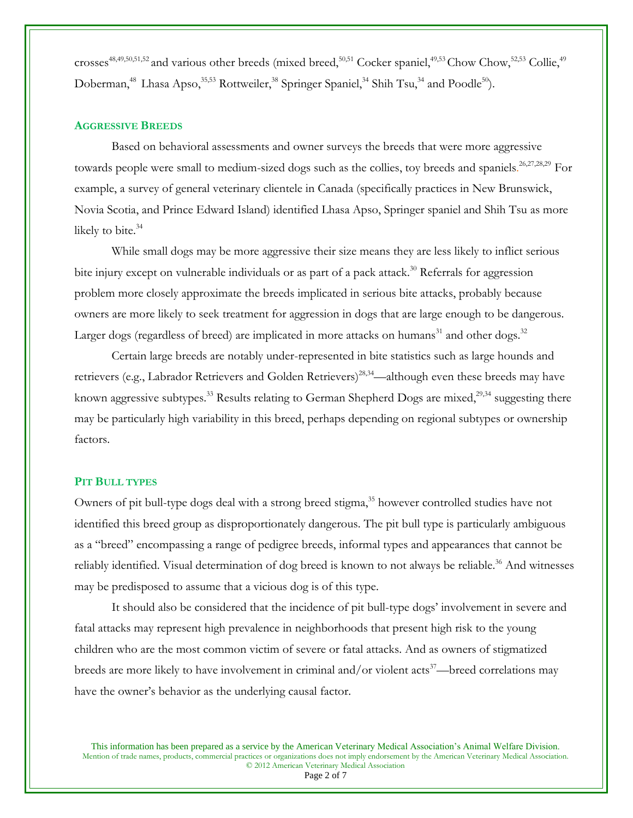crosses<sup>[48,](#page-4-1)[49,](#page-4-2)[50,](#page-4-3)[51,](#page-4-4)[52](#page-4-0)</sup> and various other breeds (mixed breed,<sup>50,[51](#page-4-4)</sup> Cocker spaniel,<sup>49,[53](#page-4-5)</sup> Chow Chow,<sup>[52,](#page-4-0)53</sup> Collie,<sup>[49](#page-4-2)</sup> Doberman,<sup>[48](#page-4-1)</sup> Lhasa Apso,<sup>[35,](#page-1-0)[53](#page-4-5)</sup> Rottweiler,<sup>[38](#page-2-0)</sup> Springer Spaniel,<sup>[34](#page-1-1)</sup> Shih Tsu,<sup>34</sup> and Poodle<sup>[50](#page-4-3)</sup>).

## **AGGRESSIVE BREEDS**

<span id="page-1-4"></span><span id="page-1-2"></span>Based on behavioral assessments and owner surveys the breeds that were more aggressive towards people were small to medium-sized dogs such as the collies, toy breeds and spaniels.<sup>26,27,28,29</sup> For example, a survey of general veterinary clientele in Canada (specifically practices in New Brunswick, Novia Scotia, and Prince Edward Island) identified Lhasa Apso, Springer spaniel and Shih Tsu as more likely to bite.<sup>[34](#page-1-1)</sup>

While small dogs may be more aggressive their size means they are less likely to inflict serious bite injury except on vulnerable individuals or as part of a pack attack.<sup>30</sup> Referrals for aggression problem more closely approximate the breeds implicated in serious bite attacks, probably because owners are more likely to seek treatment for aggression in dogs that are large enough to be dangerous. Larger dogs (regardless of breed) are implicated in more attacks on humans<sup>31</sup> and other dogs.<sup>32</sup>

<span id="page-1-3"></span><span id="page-1-1"></span>Certain large breeds are notably under-represented in bite statistics such as large hounds and retrievers (e.g., Labrador Retrievers and Golden Retrievers)<sup>[28,](#page-1-2)[34](#page-1-3)</sup>—although even these breeds may have known aggressive subtypes.<sup>33</sup> Results relating to German Shepherd Dogs are mixed,<sup>[29,3](#page-1-4)4</sup> suggesting there may be particularly high variability in this breed, perhaps depending on regional subtypes or ownership factors.

#### **PIT BULL TYPES**

Owners of pit bull-type dogs deal with a strong breed stigma,<sup>35</sup> however controlled studies have not identified this breed group as disproportionately dangerous. The pit bull type is particularly ambiguous as a "breed" encompassing a range of pedigree breeds, informal types and appearances that cannot be reliably identified. Visual determination of dog breed is known to not always be reliable.<sup>36</sup> And witnesses may be predisposed to assume that a vicious dog is of this type.

It should also be considered that the incidence of pit bull-type dogs' involvement in severe and fatal attacks may represent high prevalence in neighborhoods that present high risk to the young children who are the most common victim of severe or fatal attacks. And as owners of stigmatized breeds are more likely to have involvement in criminal and/or violent  $\arcsin 37$ —breed correlations may have the owner's behavior as the underlying causal factor.

This information has been prepared as a service by the American Veterinary Medical Association's Animal Welfare Division. Mention of trade names, products, commercial practices or organizations does not imply endorsement by the American Veterinary Medical Association. © 2012 American Veterinary Medical Association

<span id="page-1-0"></span>Page 2 of 7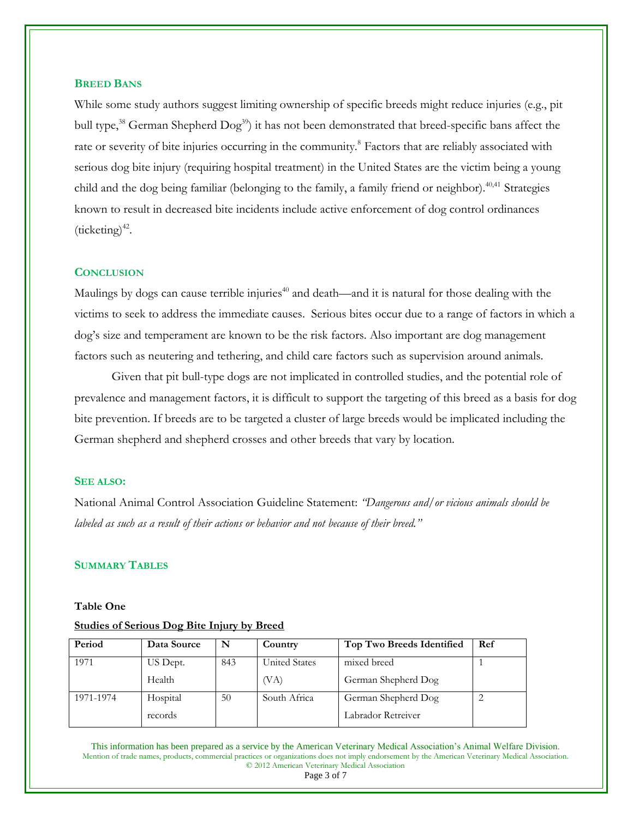#### <span id="page-2-0"></span>**BREED BANS**

<span id="page-2-2"></span><span id="page-2-1"></span>While some study authors suggest limiting ownership of specific breeds might reduce injuries (e.g., pit bull type,<sup>38</sup> German Shepherd Dog<sup>39</sup>) it has not been demonstrated that breed-specific bans affect the rate or severity of bite injuries occurring in the community.<sup>8</sup> Factors that are reliably associated with serious dog bite injury (requiring hospital treatment) in the United States are the victim being a young child and the dog being familiar (belonging to the family, a family friend or neighbor).<sup>40,41</sup> Strategies known to result in decreased bite incidents include active enforcement of dog control ordinances  $(ticketing)^{42}$ .

### **CONCLUSION**

Maulings by dogs can cause terrible injuries<sup>[40](#page-2-1)</sup> and death—and it is natural for those dealing with the victims to seek to address the immediate causes. Serious bites occur due to a range of factors in which a dog's size and temperament are known to be the risk factors. Also important are dog management factors such as neutering and tethering, and child care factors such as supervision around animals.

Given that pit bull-type dogs are not implicated in controlled studies, and the potential role of prevalence and management factors, it is difficult to support the targeting of this breed as a basis for dog bite prevention. If breeds are to be targeted a cluster of large breeds would be implicated including the German shepherd and shepherd crosses and other breeds that vary by location.

#### **SEE ALSO:**

National Animal Control Association Guideline Statement: *"Dangerous and/or vicious animals should be labeled as such as a result of their actions or behavior and not because of their breed."*

# **SUMMARY TABLES**

#### **Table One**

#### **Studies of Serious Dog Bite Injury by Breed**

| Period    | Data Source | N   | Country              | Top Two Breeds Identified | Ref |
|-----------|-------------|-----|----------------------|---------------------------|-----|
| 1971      | US Dept.    | 843 | <b>United States</b> | mixed breed               |     |
|           | Health      |     | (VA)                 | German Shepherd Dog       |     |
| 1971-1974 | Hospital    | 50  | South Africa         | German Shepherd Dog       |     |
|           | records     |     |                      | Labrador Retreiver        |     |

This information has been prepared as a service by the American Veterinary Medical Association's Animal Welfare Division. Mention of trade names, products, commercial practices or organizations does not imply endorsement by the American Veterinary Medical Association. © 2012 American Veterinary Medical Association

Page 3 of 7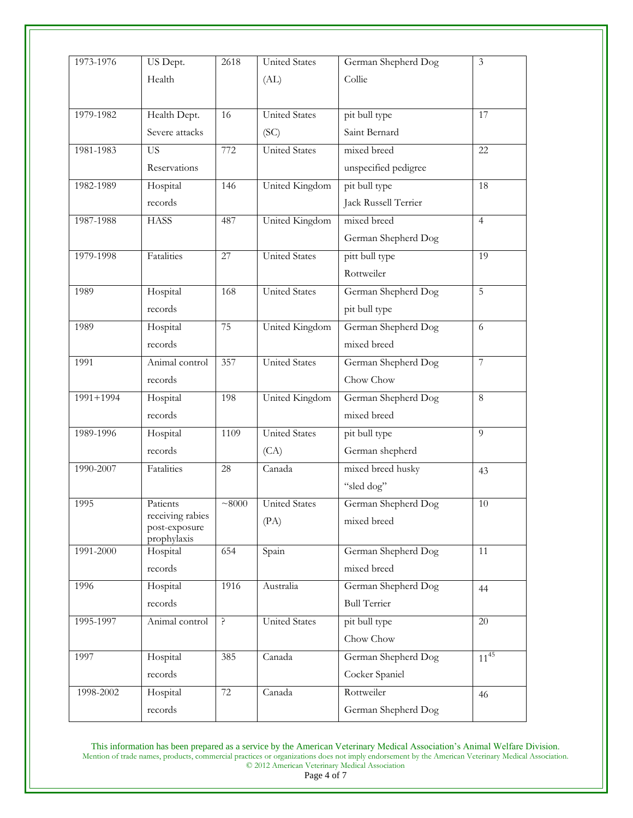| 1973-1976     | US Dept.                          | 2618  | <b>United States</b> | German Shepherd Dog  | $\mathfrak{Z}$  |  |
|---------------|-----------------------------------|-------|----------------------|----------------------|-----------------|--|
|               | Health                            | (AL)  |                      | Collie               |                 |  |
|               |                                   |       |                      |                      |                 |  |
| 1979-1982     | Health Dept.                      | 16    | <b>United States</b> | pit bull type        | 17              |  |
|               | Severe attacks                    |       | (SC)                 | Saint Bernard        |                 |  |
| 1981-1983     | <b>US</b>                         | 772   | <b>United States</b> | mixed breed          | 22              |  |
|               | Reservations                      |       |                      | unspecified pedigree |                 |  |
| 1982-1989     | Hospital                          | 146   | United Kingdom       | pit bull type        | 18              |  |
|               | records                           |       |                      | Jack Russell Terrier |                 |  |
| 1987-1988     | <b>HASS</b>                       | 487   | United Kingdom       | mixed breed          | $\overline{4}$  |  |
|               |                                   |       |                      | German Shepherd Dog  |                 |  |
| 1979-1998     | Fatalities                        | 27    | <b>United States</b> | pitt bull type       | 19              |  |
|               |                                   |       |                      | Rottweiler           |                 |  |
| 1989          | Hospital<br>168                   |       | <b>United States</b> | German Shepherd Dog  | $\overline{5}$  |  |
|               | records                           |       |                      | pit bull type        |                 |  |
| 1989          | Hospital                          | 75    | United Kingdom       | German Shepherd Dog  | 6               |  |
|               | records                           |       |                      | mixed breed          |                 |  |
| 1991          | Animal control                    | 357   | <b>United States</b> | German Shepherd Dog  | $\overline{7}$  |  |
|               | records                           |       |                      | Chow Chow            |                 |  |
| $1991 + 1994$ | Hospital                          | 198   | United Kingdom       | German Shepherd Dog  | $\overline{8}$  |  |
|               | records                           |       |                      | mixed breed          |                 |  |
| 1989-1996     | Hospital                          | 1109  | <b>United States</b> | pit bull type        | 9               |  |
|               | records                           |       | (CA)                 | German shepherd      |                 |  |
| 1990-2007     | Fatalities                        | 28    | Canada               | mixed breed husky    | 43              |  |
|               |                                   |       |                      | "sled dog"           |                 |  |
| 1995          | Patients                          | ~8000 | <b>United States</b> | German Shepherd Dog  | 10              |  |
|               | receiving rabies<br>post-exposure |       | (PA)                 | mixed breed          |                 |  |
|               | prophylaxis                       |       |                      |                      |                 |  |
| 1991-2000     | Hospital                          | 654   | Spain                | German Shepherd Dog  | 11              |  |
|               | records                           |       |                      | mixed breed          |                 |  |
| 1996          | Hospital                          | 1916  | Australia            | German Shepherd Dog  | 44              |  |
|               | records                           |       |                      | <b>Bull Terrier</b>  |                 |  |
| 1995-1997     | Animal control                    | ?     | <b>United States</b> | pit bull type        | $\overline{20}$ |  |
|               |                                   |       |                      | Chow Chow            |                 |  |
| 1997          | Hospital                          | 385   | Canada               | German Shepherd Dog  | $11^{45}$       |  |
|               | records                           |       |                      | Cocker Spaniel       |                 |  |
| 1998-2002     | Hospital                          | 72    | Canada               | Rottweiler           | 46              |  |
|               | records                           |       |                      | German Shepherd Dog  |                 |  |

This information has been prepared as a service by the American Veterinary Medical Association's Animal Welfare Division. Mention of trade names, products, commercial practices or organizations does not imply endorsement by the American Veterinary Medical Association. © 2012 American Veterinary Medical Association

<span id="page-3-1"></span><span id="page-3-0"></span>Page 4 of 7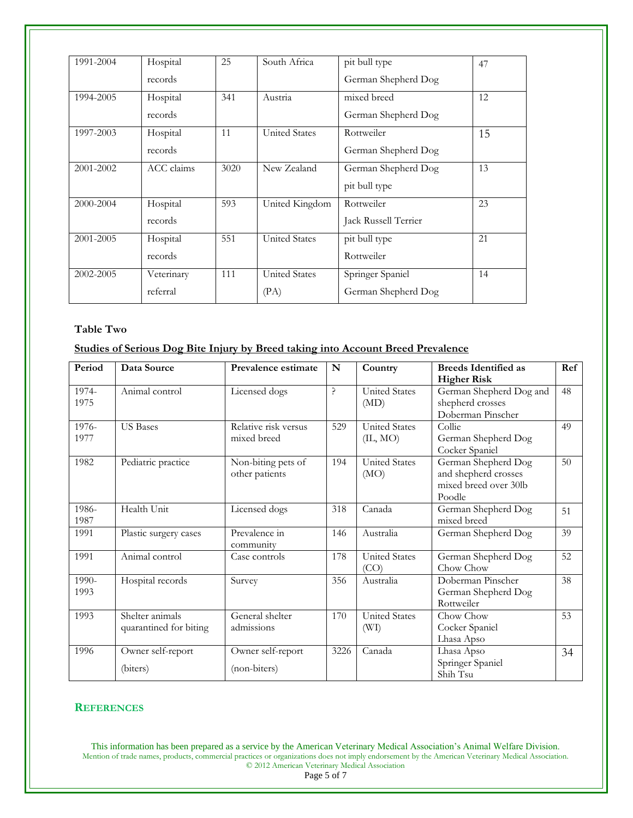| 1991-2004 | Hospital   | 25   | South Africa         | pit bull type        | 47 |
|-----------|------------|------|----------------------|----------------------|----|
|           | records    |      |                      | German Shepherd Dog  |    |
| 1994-2005 | Hospital   | 341  | Austria              | mixed breed          | 12 |
|           | records    |      |                      | German Shepherd Dog  |    |
| 1997-2003 | Hospital   | 11   | <b>United States</b> | Rottweiler           | 15 |
|           | records    |      |                      | German Shepherd Dog  |    |
| 2001-2002 | ACC claims | 3020 | New Zealand          | German Shepherd Dog  | 13 |
|           |            |      |                      | pit bull type        |    |
| 2000-2004 | Hospital   | 593  | United Kingdom       | Rottweiler           | 23 |
|           | records    |      |                      | Jack Russell Terrier |    |
| 2001-2005 | Hospital   | 551  | <b>United States</b> | pit bull type        | 21 |
|           | records    |      |                      | Rottweiler           |    |
| 2002-2005 | Veterinary | 111  | <b>United States</b> | Springer Spaniel     | 14 |
|           | referral   |      | (PA)                 | German Shepherd Dog  |    |

# **Table Two**

# **Studies of Serious Dog Bite Injury by Breed taking into Account Breed Prevalence**

| Period        | Data Source                               | Prevalence estimate                  | N                                       | Country                          | <b>Breeds Identified as</b><br><b>Higher Risk</b>                              | Ref |
|---------------|-------------------------------------------|--------------------------------------|-----------------------------------------|----------------------------------|--------------------------------------------------------------------------------|-----|
| 1974-<br>1975 | Animal control                            | Licensed dogs                        | $\mathord{\mathop{\text{--}}\nolimits}$ | <b>United States</b><br>(MD)     | German Shepherd Dog and<br>shepherd crosses<br>Doberman Pinscher               | 48  |
| 1976-<br>1977 | <b>US</b> Bases                           | Relative risk versus<br>mixed breed  | 529                                     | <b>United States</b><br>(II, MO) | Collie<br>German Shepherd Dog<br>Cocker Spaniel                                | 49  |
| 1982          | Pediatric practice                        | Non-biting pets of<br>other patients | 194                                     | <b>United States</b><br>(MO)     | German Shepherd Dog<br>and shepherd crosses<br>mixed breed over 30lb<br>Poodle | 50  |
| 1986-<br>1987 | Health Unit                               | Licensed dogs                        | 318                                     | Canada                           | German Shepherd Dog<br>mixed breed                                             | 51  |
| 1991          | Plastic surgery cases                     | Prevalence in<br>community           | 146                                     | Australia                        | German Shepherd Dog                                                            | 39  |
| 1991          | Animal control                            | Case controls                        | 178                                     | <b>United States</b><br>(CO)     | German Shepherd Dog<br>Chow Chow                                               | 52  |
| 1990-<br>1993 | Hospital records                          | Survey                               | 356                                     | Australia                        | Doberman Pinscher<br>German Shepherd Dog<br>Rottweiler                         | 38  |
| 1993          | Shelter animals<br>quarantined for biting | General shelter<br>admissions        | 170                                     | United States<br>(WI)            | Chow Chow<br>Cocker Spaniel<br>Lhasa Apso                                      | 53  |
| 1996          | Owner self-report<br>(biters)             | Owner self-report<br>(non-biters)    | 3226                                    | Canada                           | Lhasa Apso<br>Springer Spaniel<br>Shih Tsu                                     | 34  |

## **REFERENCES**

This information has been prepared as a service by the American Veterinary Medical Association's Animal Welfare Division. Mention of trade names, products, commercial practices or organizations does not imply endorsement by the American Veterinary Medical Association. © 2012 American Veterinary Medical Association

<span id="page-4-5"></span><span id="page-4-4"></span><span id="page-4-3"></span><span id="page-4-2"></span><span id="page-4-1"></span><span id="page-4-0"></span>Page 5 of 7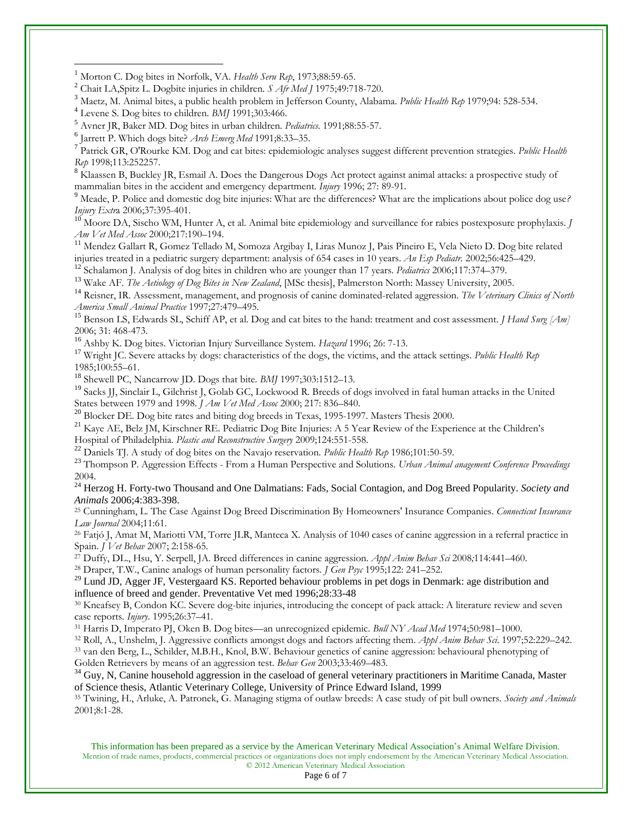<sup>1</sup> Morton C. Dog bites in Norfolk, VA. *Health Seru Rep*, 1973;88:59-65.

<sup>2</sup> Chait LA,Spitz L. Dogbite injuries in children. *S Afr Med J* 1975;49:718-720.

<sup>3</sup> Maetz, M. Animal bites, a public health problem in Jefferson County, Alabama. *Public Health Rep* 1979;94: 528-534.

 $\overline{a}$ 

7 Patrick GR, O'Rourke KM. Dog and cat bites: epidemiologic analyses suggest different prevention strategies. *Public Health Rep* 1998;113:252257.

<sup>8</sup> Klaassen B, Buckley JR, Esmail A. Does the Dangerous Dogs Act protect against animal attacks: a prospective study of mammalian bites in the accident and emergency department. *Injury* 1996; 27: 89-91.

<sup>9</sup> Meade, P. Police and domestic dog bite injuries: What are the differences? What are the implications about police dog use*? Injury Extr*a 2006;37:395-401.

<sup>10</sup> Moore DA, Sischo WM, Hunter A, et al. Animal bite epidemiology and surveillance for rabies postexposure prophylaxis. *J Am Vet Med Assoc* 2000;217:190–194.

<sup>11</sup> Mendez Gallart R, Gomez Tellado M, Somoza Argibay I, Liras Munoz J, Pais Pineiro E, Vela Nieto D. Dog bite related injuries treated in a pediatric surgery department: analysis of 654 cases in 10 years. *An Esp Pediatr.* 2002;56:425–429.

<sup>12</sup> Schalamon J. Analysis of dog bites in children who are younger than 17 years. *Pediatrics* 2006;117:374–379.

<sup>13</sup> Wake AF. *The Aetiology of Dog Bites in New Zealand*, [MSc thesis], Palmerston North: Massey University, 2005.

<sup>14</sup> Reisner, IR. Assessment, management, and prognosis of canine dominated-related aggression. *The Veterinary Clinics of North America Small Animal Practice* 1997;27:479–495.

<sup>15</sup> Benson LS, Edwards SL, Schiff AP, et al. Dog and cat bites to the hand: treatment and cost assessment. *J Hand Surg [Am]* 2006; 31: 468-473.

<sup>16</sup> Ashby K. Dog bites. Victorian Injury Surveillance System. *Hazard* 1996; 26: 7-13.

<sup>17</sup> Wright JC. Severe attacks by dogs: characteristics of the dogs, the victims, and the attack settings. *Public Health Rep* 1985;100:55–61.

<sup>18</sup> Shewell PC, Nancarrow JD. Dogs that bite*. BMJ* 1997;303:1512–13.

<sup>19</sup> Sacks JJ, Sinclair L, Gilchrist J, Golab GC, Lockwood R. Breeds of dogs involved in fatal human attacks in the United States between 1979 and 1998. *J Am Vet Med Assoc* 2000; 217: 836–840.

<sup>20</sup> Blocker DE. Dog bite rates and biting dog breeds in Texas, 1995-1997. Masters Thesis 2000.

<sup>21</sup> Kave AE, Belz JM, Kirschner RE. Pediatric Dog Bite Injuries: A 5 Year Review of the Experience at the Children's Hospital of Philadelphia. *Plastic and Reconstructive Surgery* 2009;124:551-558.

<sup>22</sup> Daniels TJ. A study of dog bites on the Navajo reservation*. Public Health Rep* 1986;101:50-59.

<sup>23</sup> Thompson P. Aggression Effects - From a Human Perspective and Solutions. *Urban Animal anagement Conference Proceedings*  2004.

<sup>24</sup> Herzog H. Forty-two Thousand and One Dalmatians: Fads, Social Contagion, and Dog Breed Popularity. *Society and Animals* 2006;4:383-398.

<sup>25</sup> Cunningham, L. The Case Against Dog Breed Discrimination By Homeowners' Insurance Companies. *Connecticut Insurance Law Journal* 2004;11:61.

<sup>26</sup> Fatjó J, Amat M, Mariotti VM, Torre JLR, Manteca X. Analysis of 1040 cases of canine aggression in a referral practice in Spain. *J Vet Behav* 2007; 2:158-65.

<sup>27</sup> Duffy, DL., Hsu, Y. Serpell, JA. Breed differences in canine aggression*. Appl Anim Behav Sci* 2008*;*114:441–460.

<sup>28</sup> Draper, T.W., Canine analogs of human personality factors*. J Gen Psyc* 1995;122: 241–252.

<sup>29</sup> Lund JD, Agger JF, Vestergaard KS. Reported behaviour problems in pet dogs in Denmark: age distribution and influence of breed and gender. Preventative Vet med 1996;28:33-48

<sup>30</sup> Kneafsey B, Condon KC. Severe dog-bite injuries, introducing the concept of pack attack: A literature review and seven case reports. *Injury*. 1995;26:37–41.

<sup>31</sup> Harris D, Imperato PJ, Oken B. Dog bites—an unrecognized epidemic. *Bull NY Acad Med* 1974;50:981–1000.

<sup>32</sup> Roll, A., Unshelm, J. Aggressive conflicts amongst dogs and factors affecting them. *Appl Anim Behav Sci*. 1997;52:229–242.

<sup>33</sup> van den Berg, L., Schilder, M.B.H., Knol, B.W. Behaviour genetics of canine aggression: behavioural phenotyping of Golden Retrievers by means of an aggression test. *Behav Gen* 2003;33:469–483.

 $34$  Guy, N, Canine household aggression in the caseload of general veterinary practitioners in Maritime Canada, Master of Science thesis, Atlantic Veterinary College, University of Prince Edward Island, 1999

<sup>35</sup> Twining, H., Arluke, A. Patronek, G. Managing stigma of outlaw breeds: A case study of pit bull owners*. Society and Animals* 2001;8:1-28.

This information has been prepared as a service by the American Veterinary Medical Association's Animal Welfare Division. Mention of trade names, products, commercial practices or organizations does not imply endorsement by the American Veterinary Medical Association. © 2012 American Veterinary Medical Association

<sup>4</sup> Levene S. Dog bites to children. *BMJ* 1991;303:466.

<sup>5</sup> Avner JR, Baker MD. Dog bites in urban children. *Pediatrics.* 1991;88:55-57.

<sup>6</sup> Jarrett P. Which dogs bite? *Arch Emerg Med* 1991;8:33–35.